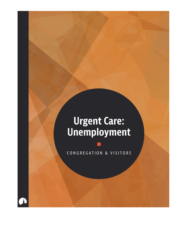# **Urgent Care:<br>Unemployment**

CONGREGATION & VISITORS

 $\Omega$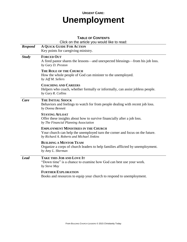# **URGENT CARE: Unemployment**

# **TABLE OF CONTENTS**

Click on the article you would like to read:

|                | Short off the drillers you froute like to redd.                                                                                                                         |
|----------------|-------------------------------------------------------------------------------------------------------------------------------------------------------------------------|
| <b>Respond</b> | <b>A QUICK GUIDE FOR ACTION</b><br>Key points for caregiving ministry.                                                                                                  |
| <b>Study</b>   | <b>FORCED OUT</b><br>A fired pastor shares the lessons—and unexpected blessings—from his job loss.<br>by Gary D. Preston                                                |
|                | THE ROLE OF THE CHURCH<br>How the whole people of God can minister to the unemployed.<br>by Jeff M. Sellers                                                             |
|                | <b>COACHING AND CAREERS</b><br>Helpers who coach, whether formally or informally, can assist jobless people.<br>by Gary R. Collins                                      |
| Care           | <b>THE INITIAL SHOCK</b><br>Behaviors and feelings to watch for from people dealing with recent job loss.<br>by Donna Bennett                                           |
|                | <b>STAYING AFLOAT</b><br>Offer these insights about how to survive financially after a job loss.<br>by The Financial Planning Association                               |
|                | <b>EMPLOYMENT MINISTRIES IN THE CHURCH</b><br>Your church can help the unemployed turn the corner and focus on the future.<br>by Richard A. Roberts and Michael Jinkins |
|                | <b>BUILDING A MENTOR TEAM</b><br>Organize a corps of church leaders to help families afflicted by unemployment.<br>by Amy L. Sherman                                    |
| <b>Lead</b>    | <b>TAKE THIS JOB AND LOVE IT</b><br>"Down time" is a chance to examine how God can best use your work.<br>by Steve May                                                  |
|                | <b>FURTHER EXPLORATION</b><br>Books and resources to equip your church to respond to unemployment.                                                                      |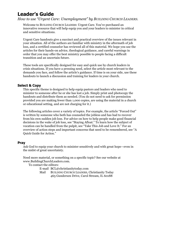# **Leader's Guide**

*How to use "Urgent Care: Unemployment" by BUILDING CHURCH LEADERS.*

Welcome to BUILDING CHURCH LEADERS: Urgent Care. You've purchased an innovative resource that will help equip you and your leaders to minister in critical and sensitive situations.

Urgent Care handouts give a succinct and practical overview of the issues relevant in your situation. All of the authors are familiar with ministry in the aftermath of job loss, and a certified counselor has reviewed all of this material. We hope you use the articles for their hands-on advice, theological guidance, and careful warnings in order that you may offer the best ministry possible to people facing a difficult transition and an uncertain future.

These tools are specifically designed for easy and quick use by church leaders in crisis situations. If you have a pressing need, select the article most relevant to the demands you face, and follow the article's guidance. If time is on your side, use these handouts to launch a discussion and training for leaders in your church.

## **Select & Copy**

This specific theme is designed to help equip pastors and leaders who need to minister to someone after he or she has lost a job. Simply print and photocopy the handouts and distribute them as needed. (You do not need to ask for permission provided you are making fewer than 1,000 copies, are using the material in a church or educational setting, and are not charging for it.)

The following articles cover a variety of topics. For example, the article "Forced Out" is written by someone who both has counseled the jobless and has had to recover from his own sudden job loss. For advice on how to help people make good financial decisions in the wake of job loss, see "Staying Afloat." To learn how the subject of vocation can be handled from the pulpit, see "Take This Job and Love It." For an overview of action steps and important concerns that need to be remembered, see "A Quick Guide for Action."

#### **Pray**

Ask God to equip your church to minister sensitively and with great hope—even in the midst of great uncertainty.

Need more material, or something on a specific topic? See our website at www.BuildingChurchLeaders.com.

To contact the editors:

E-mail BCL@christianitytoday.com

Mail BUILDING CHURCH LEADERS, Christianity Today 465 Gundersen Drive, Carol Stream, IL 60188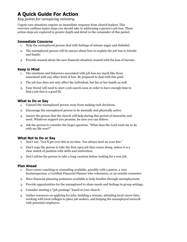# <span id="page-3-0"></span>**A Quick Guide For Action**

<span id="page-3-1"></span>*Key points for caregiving ministry.*

Urgent care situations require an immediate response from church leaders. This overview outlines major steps you should take in addressing a person's job loss. These action steps are explored in greater depth and detail in the remainder of this packet.

## **Immediate Concerns**

- 1. Help the unemployed person deal with feelings of intense anger and disbelief.
- 2. The unemployed person will be unsure about how to explain the job loss to friends and family.
- 3. Provide counsel about the new financial situation created with the loss of income.

# **Keep in Mind**

- 1. The emotions and behaviors associated with job loss are much like those associated with any other kind of loss. Be prepared to deal with this grief.
- 2. The job loss does not only affect the individual, but his or her family as well.
- 3. Your friend will need to start a job search soon in order to have enough time to find a job that is a good fit.

# **What to Do or Say**

- 1. Counsel the unemployed person away from making rash decisions.
- 2. Encourage the unemployed person to be mentally and physically active.
- 3. Assure the person that the church will help during this period of insecurity and need. Whatever support you promise, be sure you can deliver.
- 4. Ask the person to consider the larger question: "What does the Lord want me to do with my life now?"

# **What Not to Do or Say**

- 1. Don't say, "You'll get over this in no time. You always land on your feet."
- 2. Don't urge the person to take the first open job that comes along, unless it is a clear match of position with skills and motivation.
- 3. Don't advise the person to take a long vacation before looking for a new job.

# **Plan Ahead**

- 1. Have career coaching or counseling available, possibly with a pastor, a wise businessperson, a Certified Financial Planner who volunteers, or an outside counselor.
- 2. Have financial planning assistance available to help families through unemployment.
- 3. Provide opportunities for the unemployed to share needs and feelings in group settings.
- 4. Consider starting a "job postings" board at your church.
- 5. Gather resources on applying for jobs, building a resume, attending local career fairs, working with local colleges to place job seekers, and helping the unemployed network with potential employers.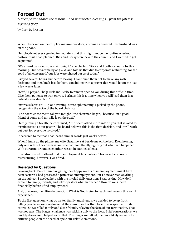# <span id="page-4-0"></span>**Forced Out**

<span id="page-4-1"></span>*A fired pastor shares the lessons—and unexpected blessings—from his job loss.*  Romans 8:28

<span id="page-4-2"></span>by Gary D. Preston

When I knocked on the couple's massive oak door, a woman answered. Her husband was on the phone.

Her bloodshot eyes signaled immediately that this might not be the routine one-hour pastoral visit I had planned. Rick and Becky were new to the church, and I wanted to get acquainted.

"We almost canceled your visit tonight," she blurted. "Rick and I both lost our jobs this morning. Our boss came by at 9 A.M. and told us that due to corporate reshuffling 'for the good of all concerned,' our jobs were phased out as of today."

I stayed several hours, but before leaving, I cautioned them not to make any rash decisions and then knelt beside them, concluding with a prayer that would haunt me just a few weeks later.

"Lord," I prayed, "help Rick and Becky to remain open to you during this difficult time. Give them patience to wait on you. Perhaps this is a time when you will lead them in a radically new direction."

Six weeks later, at 10:15 one evening, our telephone rang. I picked up the phone, recognizing the voice of the board chairman.

"The board chose me to call you tonight," the chairman began, "because I'm a good friend of yours and my wife is on the staff."

Hardly taking a breath, he continued, "The board asked me to inform you that it voted to terminate you as our pastor. The board believes this is the right decision, and it will work out best for everyone involved."

It occurred to me that I had heard similar words just weeks before.

When I hung up the phone, my wife, Suzanne, sat beside me on the bed. Even hearing only one side of the conversation, she had no difficulty figuring out what had happened. With our arms around each other, we sat in stunned silence.

I had discovered firsthand that unemployment hits pastors. This wasn't corporate restructuring, however. I was fired.

## **Besieged by Questions**

Looking back, I'm certain navigating the choppy waters of unemployment might have been easier if I had possessed a primer on unemployment. But I'd never read anything on the subject. I needed help with the myriad daily questions I was asking: How do I explain to family, friends, and fellow pastors what happened? How do we survive financially before I find employment?

And, of course, the ultimate question: What is God trying to teach me through this awful experience?

To the first question, what do we tell family and friends, we decided to be up front, telling people we were no longer at the church, rather than to let the grapevine run its course. So we called family and close friends, relaying the facts of our termination. That was not easy. The biggest challenge was sticking only to the facts. Brief conversations, we quickly discovered, helped us do that. The longer we talked, the more likely we were to criticize people on the board or spew our volatile emotions.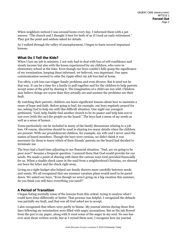When neighbors noticed I was around home every day, I informed them with a pat answer: "The church and I thought it best for both of us if I took an early retirement." They got the point and seldom asked for details.

As I walked through the valley of unemployment, I began to learn several important lessons.

# **What Do I Tell the Kids?**

When I lost my job in ministry, I not only had to deal with loss of self-confidence and steady income but also with the losses experienced by my children, who were in elementary school at the time. Even though our boys couldn't fully grasp the significance of my termination, keeping them informed, we believed, was important. Our open communication seemed to calm the ripple effect my job loss had at home.

Too often, a job loss can trigger family problems and even divorce. But it need not be that way. It can be a time for a family to pull together and for the children to help parents accept some of the grief by sharing it. The imagination of a child can run wild. Children may believe things are worse than they actually are and assume the problems are their fault.

By watching their parents, children can learn significant lessons about how to maintain a sense of hope and faith. Before going to bed, for example, our boys regularly prayed for me, asking God to help me with this difficult situation. One night our youngest petitioned, "God, help Daddy find another church to be its pastor and help him not to run over [with the car] the people on the board." The boys had a sense of my needs as well as a sense of humor.

Teens particularly can be included in many of the family discussions relating to a job loss. Of course, discretion should be used in sharing too many details when the children are present. With our preadolescent children, for example, my wife and I never used the names of board members. Though the boys were curious, we didn't think it was necessary for them to know which of their friends' parents on the board had decided to terminate me.

The boys had a hard time adjusting to our financial situation. "Dad, are we going to be poor now?" became a frequent question. I assured them that God would provide for our needs. We made a point of sharing with them the various ways God provided financially for us. When a sizable check came in the mail from a neighborhood Christian, we showed our boys the letter and the check right away.

Living on a tight budget also helped our family discern more carefully between needs and wants. We all recognized that our summer vacation plans would need to be pared down. We asked our boys, "Even though we aren't going on a big vacation this summer, do you think you still have everything you need?"

# **A Period of Transition**

I began listing mentally some of the lessons from this ordeal, trying to analyze what I could have done differently or better. That process was helpful. I recognized the debacle was partially my fault, and that was all God asked me to accept.

I also recognized that others were partly to blame. My journal entries during those first days following my termination were filled with angry accusations. But as the ink flowed from the pen to my paper, along with it went some of the anger in my soul. No one has ever seen those written words, but as I reread them now, I recognize how my journal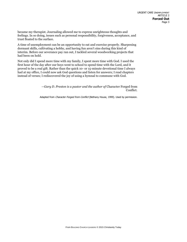became my therapist. Journaling allowed me to express unrighteous thoughts and feelings. In so doing, issues such as personal responsibility, forgiveness, acceptance, and trust floated to the surface.

A time of unemployment can be an opportunity to eat and exercise properly. Sharpening dormant skills, cultivating a hobby, and having fun aren't sins during this kind of interim. Before our severance pay ran out, I tackled several woodworking projects that had been on hold.

Not only did I spend more time with my family, I spent more time with God. I used the first hour of the day after our boys went to school to spend time with the Lord, and it proved to be a real gift. Rather than the quick 10- or 15-minute devotional time I always had at my office, I could now ask God questions and listen for answers; I read chapters instead of verses; I rediscovered the joy of using a hymnal to commune with God.

> *—Gary D. Preston is a pastor and the author of* Character Forged from Conflict*.*

Adapted from Character Forged from Conflict (Bethany House, 1999). Used by permission.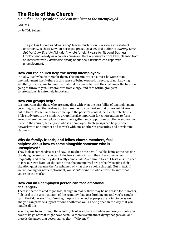# <span id="page-7-0"></span>**The Role of the Church**

<span id="page-7-1"></span>*How the whole people of God can minister to the unemployed.*

Job 4:3

<span id="page-7-2"></span>by Jeff M. Sellers

The job loss known as "downsizing" leaves much of our workforce in a state of uncertainty. Richard Kew, an Episcopal priest, speaker, and author of Starting Over-But Not from Scratch (Abingdon), wrote for eight years for National Business Employment Weekly as a career counselor. Here are insights from Kew, gleaned from an interview with *Christianity Today*, about how Christians can cope with unemployment.

# **How can the church help the newly unemployed?**

Initially, just by being there for them. The uncertainty can almost be worse than unemployment itself—there is this sense of being exposed, insecure, of not knowing whether you are going to have the material resources to meet the challenges the future is going to throw at you. Pastoral care from clergy, and care within groups in congregations, is extremely important.

# **How can groups help?**

It's important that those who are struggling with even the possibility of unemployment be willing to open themselves up, to share their discomfort so that others might reach out to them. These issues first come up in the person's context, be it a church choir, a Bible study group, or a ministry group. It's also important for congregations to form groups where the unemployed can come together and support one another—and not just those in the church, but anyone who is unemployed. Such groups can help people network with one another and to work with one another in presenting and developing résumés.

# **Why do family, friends, and fellow church members, feel helpless about how to come alongside someone who is unemployed?**

They look at somebody else and say, "It might be me next!" It's like being at the bedside of a dying person, and you watch doctors coming in, and then they come in less frequently, and then they don't really come at all. As communities of Christians, we need to face our own fears. At the same time, the unemployed are probably keeping their situation quiet because they're ashamed of what they're going through. But in fact, if you're looking for new employment, you *should* want the whole world to know that you're on the market.

# **How can an unemployed person can face emotional challenges?**

There is shame related to job loss, though in reality there may be no reason for it. Rather, [job loss] is the great tsunami of the economy that goes lurching on, and you're caught up in the tidal wave. If you're caught up in it, then other people are going to be as well, and you can provide support for one another as well as being open in the way that you handle all this.

You're going to go through the whole cycle of grief, because when you lose your job, you have to let go of what might have been. So there is some inner dying that goes on, and there is the anger that accompanies that—"Why me?"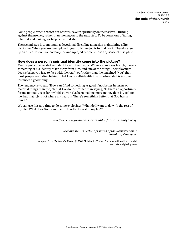Some people, when thrown out of work, cave in spiritually on themselves—turning against themselves, rather than moving on to the next step. To be conscious of falling into that and looking for help is the first step.

The second step is to maintain a devotional discipline alongside maintaining a life discipline. When you are unemployed, your full-time job is to find work. Therefore, set up an office. There is a tendency for unemployed people to lose any sense of discipline.

## **How does a person's spiritual identity come into the picture?**

Men in particular relate their identity with their work. When a man loses his job, there is something of his identity taken away from him, and one of the things unemployment does is bring you face to face with the real "you" rather than the imagined "you" that most people are hiding behind. That loss of self-identity that is job-related is in some instances a good thing.

The tendency is to say, "How can I find something as good if not better in terms of material things than the job that I've done?" rather than saying, "Is there an opportunity for me to totally reorder my life? Maybe I've been making more money than is good for me, but that job is not where my heart is. There's something better that God has in mind."

We can use this as a time to do some exploring: "What do I want to do with the rest of my life? What does God want me to do with the rest of my life?"

*—Jeff Sellers is former associate editor for* Christianity Today*.*

*—Richard Kew is rector of Church of the Resurrection in Franklin, Tennessee.*

Adapted from Christianity Today,  $\odot$  2001 Christianity Today. For more articles like this, visit www.christianitytoday.com.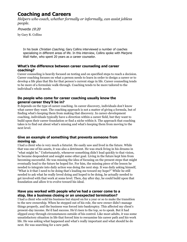# <span id="page-9-0"></span>**Coaching and Careers**

<span id="page-9-1"></span>*Helpers who coach, whether formally or informally, can assist jobless people.*

Proverbs 19:20

<span id="page-9-2"></span>by Gary R. Collins

In his book *Christian Coaching*, Gary Collins interviewed a number of coaches specializing in different areas of life. In this interview, Collins spoke with Marjorie Wall Hafer, who spent 20 years as a career counselor.

# **What's the difference between career counseling and career coaching?**

Career counseling is heavily focused on testing and on specified steps to reach a decision. Career coaching focuses on what a person needs to learn in order to design a career or to develop a life plan that fits for that person's current stage in life. Career counseling tends to be more of a formulaic walk-through. Coaching tends to be more tailored to the individual's whole needs.

# **Do people who come for career coaching usually know the general career they'll be in?**

It depends on the type of career coaching. In career discovery, individuals don't know what career they want. The coaching approach is not a matter of giving a formula, but of finding what's keeping them from making that discovery. In career-development coaching, individuals typically have a direction within a career field, but they want to build upon their career foundation or find a niche within it. The approach that coaching takes is to find out about what's missing and what's keeping them from moving to the next level.

# **Give an example of something that prevents someone from moving up.**

I had a client who is very much a futurist. He easily saw and lived in the future. While that was one of his assets, it was also a detriment. He was stuck living in his dreams in "what might be." Unfortunately, whenever something didn't lead quickly to that vision, he became despondent and sought some other goal. Living in the future kept him from becoming successful. He was missing the idea of focusing on the present steps that might eventually lead to the future he hoped for. For him, the missing piece of the lesson he needed to integrate into daily action was doing the next step. It was daily asking himself, "What is it that I need to be doing that's leading me toward my hope?" While he still needed to ask what he really loved doing and hoped to be doing, he actually needed to get involved with that work at some level. Then, day after day, he could build upon that foundation and allow it to evolve toward his ideal.

## **Have you worked with people who've had a career come to a stop, like a business closing or an unexpected termination?**

I had a client who sold his business but stayed on for a year or so to make the transition to the new ownership. When he stepped out of his role, the new owner didn't manage things properly, and the business was forced into bankruptcy. This affected my client's present-day income. He'd had success. He'd risen to the top, so to speak. But it had slipped away through circumstances outside of his control. Like most adults, it was some unsatisfactory situation in life that forced him to reexamine his career path and his work life. He was asking what happened and what's really important and what should he do next. He was searching for a new path.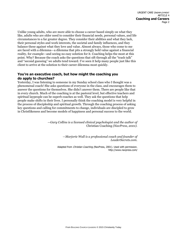Unlike young adults, who are more able to choose a career based simply on what they like, adults who are older need to consider their financial needs, personal values, and life circumstances to a far greater degree. They consider their abilities and what they lack, their personal styles and work interests, the societal and family influences, and they balance these against what they love and value. Almost always, those who come to me are faced with a dilemma—a dilemma that pits a strongly held value against a financial reality, for example—and seeing no easy solution for it. Coaching helps the most at this point. Why? Because the coach asks the questions that sift through all the "trash talk" and "second guessing" we adults tend toward. I've seen it help many people just like this client to arrive at the solution to their career dilemma most quickly.

## **You're an executive coach, but how might the coaching you do apply to churches?**

Yesterday, I was listening to someone in my Sunday school class who I thought was a phenomenal coach! She asks questions of everyone in the class, and encourages them to answer the questions for themselves. She didn't answer them. There are people like that in every church. Much of the coaching is at the pastoral level, but effective teachers and spiritual laypeople can be superb coaches as well. They ask the questions that help people make shifts in their lives. I personally think the coaching model is very helpful in the process of discipleship and spiritual growth. Through the coaching process of asking key questions and calling for commitments to change, individuals are discipled to grow in Christlikeness and become models of happiness and personal success to the world.

> *—Gary Collins is a licensed clinical psychologist and the author of*  Christian Coaching *(NavPress, 2001).*

> > *—Marjorie Wall is a professional coach and founder of LeaderSecrets.com.*

Adapted from Christian Coaching (NavPress, 2001). Used with permission. http://www.navpress.com/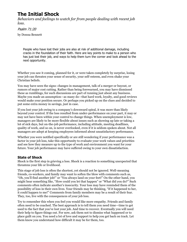# <span id="page-11-0"></span>**The Initial Shock**

<span id="page-11-1"></span>*Behaviors and feelings to watch for from people dealing with recent job loss.*

Psalm 71:20

<span id="page-11-2"></span>by Donna Bennett

People who have lost their jobs are also at risk of additional damage, including cracks in the foundation of their faith. Here are key points to make to a person who has just lost their job, and ways to help them turn the corner and look ahead to the next opportunity.

Whether you saw it coming, planned for it, or were taken completely by surprise, losing your job can threaten your sense of security, your self-esteem, and even shake your Christian beliefs.

You may have seen the signs: changes in management, talk of a merger or buyout, or rumors of major cost cutting. Rather than being forewarned, you may have dismissed these as rumblings, for such discussions are part of running just about any business. Maybe you made an assumption—as many do—that hard work, loyalty, and good reviews would make your position secure. Or perhaps you picked up on the clues and decided to put some extra money in savings, just in case.

If you lost your job owing to a company's downward spiral, it was more than likely beyond your control. If the loss resulted from under-performance on your part, it may or may not have been within your control to change things. When unemployment is low, managers are likely to be more flexible about issues such as showing up late or taking a lot of sick days, but on-the-job performance, including attitude, meeting deadlines, quality of work, and so on, is never overlooked, even if it is seldom spoken about. Not all managers are adept at keeping employees informed about unsatisfactory performance.

Whether you were notified specifically or are still wondering if your performance was a factor in your job loss, take this opportunity to evaluate your work values and priorities and see how they measure up to the type of work and environment you want for your future. Your job performance may have suffered owing to your own dissatisfaction.

## **State of Shock**

Shock is the first step in grieving a loss. Shock is a reaction to something unexpected that threatens your life or livelihood.

This stage of job loss is often the shortest, yet should not be ignored. Well-meaning friends, co-workers, and family may want to soften the blow with comments such as, "Oh, you'll find another job!" or "You always land on your feet!" On the other hand, you might hear something like, "How could you let that happen" or "What did you do?" Such comments often indicate another's insecurity. Your loss may have reminded them of the possibility of loss in their own lives. Your friends may be thinking, "If it happened to her, it could happen to me!" Comments from family members may be a result of their fear. They, too, live with the consequences of your job loss.

Try to remember this when you feel you would like more empathy. Friends and family often need to be coached. The best approach is to tell them you need time—time to get used to the fact that you've lost your job. And time to recover. Eventually you will need their help to figure things out. For now, ask them not to dismiss what happened or to place guilt on you. You need a lot of love and support to help you get back on track. Let them know you understand how difficult it may be for them, too.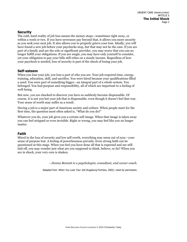## **Security**

The cold, hard reality of job loss means the money stops—sometimes right away, or within a week or two. If you have severance pay beyond that, it allows you more security as you seek your next job. It also allows you to properly grieve your loss. Ideally, you will have found a new job before your paychecks stop, but that may not be the case. If you are part of a family and are the sole or significant provider, you may worry that you can no longer fulfill your obligations. If you are single, you may have only yourself to consider, yet your obligation to pay your bills still relies on a steady income. Regardless of how your paycheck is needed, loss of security is part of the shock of losing your job.

#### **Self-esteem**

When you lose your job, you lose a part of who you are. Your job required time, energy, training, education, skill, and sacrifice. You were hired because your qualifications filled a need. You were part of something bigger—an integral part of a whole system. You belonged. You had purpose and responsibility, all of which are important to a feeling of well-being.

But now, you are shocked to discover you have so suddenly become dispensable. Of course, it is not you but your job that is dispensable, even though it doesn't feel that way. Your sense of worth may suffer as a result.

Having a job is a major part of American society and culture. When people meet for the first time, the question most often asked is, "What do you do?"

Whatever you do, your job gives you a certain self-image. When that image is taken away you can feel stripped or even invisible. Right or wrong, you may feel like you no longer matter.

## **Faith**

Mired in the loss of security and low self worth, everything may seem out of sync—your sense of purpose lost. A feeling of powerlessness prevails. Even strong faith can be questioned at this stage. When you feel you have done all that is expected and are still laid off, you may wonder just what are you supposed to think, believe, or do? When you are in shock, your very core is shaken.

*—Donna Bennett is a psychologist, consultant, and career coach.*

Adapted from When You Lose Your Job (Augsburg Fortress, 2002). Used by permission.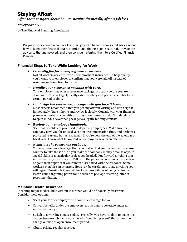# <span id="page-13-0"></span>**Staying Afloat**

<span id="page-13-1"></span>*Offer these insights about how to survive financially after a job loss.*

Philippians 4:19

<span id="page-13-2"></span>by The Financial Planning Association

People in your church who have lost their jobs can benefit from sound advice about how to keep their financial affairs in order until the next job is secured. Provide this advice to the unemployed, and then consider referring them to a Certified Financial Planner.

# **Financial Steps to Take While Looking for Work**

- *Promptly file for unemployment insurance.* Not all workers are entitled to unemployment insurance. To help qualify, you'll want your employer to confirm that you were laid off instead of resigning or being fired for cause.
- *Handle your severance package with care.*

Your employer may offer a severance package, probably before you are dismissed. This package typically extends salary and perhaps benefits for a certain period of time.

#### *Don't sign the severance package until you take it home.*

Most experts recommend that you get any offer in writing and don't sign it immediately. Take it home and review it closely. Consult with your financial planner or perhaps a benefits attorney about issues you don't understand. Keep in mind, a severance package is a legally binding contract.

## *Review your employee handbook.*

See what benefits are promised to departing employees. Make sure the company pays you for unused vacation or compensation time, and perhaps a pro-rated year-end bonus, especially if you're near the end of the calendar or fiscal year. Learn what fellow laid-off employees have been offered.

## *Negotiate the severance package.*

You may have more leverage than you realize. Did you recently move across country to take the job? Did you make the company money because of your special skills or a particular project you headed? Put forward anything that individualizes your situation. Talk with the person who extends the package, or go to their superior if you remain dissatisfied with the response. Some workers even hire an attorney. However, be careful not to say anything you will regret. Burning bridges will hurt any possibilities of being rehired and lessen your bargaining power for a severance package or strong letter of recommendation.

## **Maintain Health Insurance**

Incurring major medical bills without insurance would be financially disastrous. Consider these options:

- $\triangleright$  See if your former employer will continue coverage for you.
- $\triangleright$  Convert benefits under the employers' group plan to coverage under an individual policy.
- $\triangleright$  Switch to a working spouse's plan. Typically, you have 30 days to make this change because job loss is considered a "qualifying event" that allows the change outside of open enrollment period.
- $\triangleright$  Obtain private regular coverage.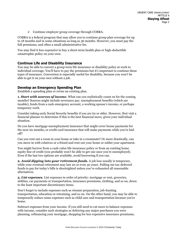Continue employer group coverage through COBRA.

COBRA is a federal program that may allow you to continue group plan coverage for up to 18 months and in some situations as long as 36 months. However, you must pay the full premiums, and often a small administrative fee.

You may find it less expensive to buy a short-term health plan or high-deductible catastrophic policy on your own.

## **Continue Life and Disability Insurance**

You may be able to convert a group term life insurance or disability policy at work to individual coverage. You'll have to pay the premiums but it's important to continue these types of insurance. Conversion is especially useful for disability, because you won't be able to get it on your own without a job.

#### **Develop an Emergency Spending Plan**

Establish a spending plan or revise an existing plan.

**1. Start with sources of income.** What can you realistically count on for the coming months? Sources might include severance pay, unemployment benefits (which are taxable), funds from a cash emergency account, a working spouse's income, or perhaps temporary work.

Consider taking early Social Security benefits if you are 62 or older. However, first visit a financial planner to determine if this is the best financial move, given your individual situation.

Do you have mortgage unemployment insurance that might cover house payments for the next six months, or credit card insurance that will make payments while you're laid off?

Can you rent out a room in your home or take in a roommate? Or more drastically, can you move in with relatives or a friend and rent out your home or sublet your apartment.

You might borrow from a cash-value life insurance policy or from an existing home equity line of credit (you probably won't be able to get one once you're unemployed). Even if the last two options are available, avoid borrowing if you can.

**2.** *Avoid dipping into your retirement funds***.** A job loss usually is temporary, while your eventual retirement may last 20 or even 30 years. Pulling out tax-deferred funds to pay for today's bills is shortsighted unless you've exhausted all reasonable alternatives.

**3.** *List expenses***.** List expenses in order of priority: mortgage or rent, groceries, utilities, car payments or transportation, insurance premiums, clothing, and so on, down to the least important discretionary items.

Don't forget to include expenses such as résumé preparation, job-hunting transportation, education or retraining, and so on. On the other hand, you may be able to temporarily reduce some expenses such as child care and transportation because you're home.

Subtract expenses from your income. If you still need to cut more to balance expenses with income, consider such strategies as deferring any major purchases you were planning, refinancing your mortgage, shopping for less expensive insurance premiums,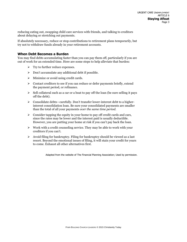reducing eating out, swapping child care services with friends, and talking to creditors about delaying or stretching out payments.

If absolutely necessary, reduce or stop contributions to retirement plans temporarily, but try not to withdraw funds already in your retirement accounts.

#### **When Debt Becomes a Burden**

You may find debts accumulating faster than you can pay them off, particularly if you are out of work for an extended time. Here are some steps to help alleviate that burden:

- > Try to further reduce expenses.
- $\triangleright$  Don't accumulate any additional debt if possible.
- $\triangleright$  Minimize or avoid using credit cards.
- $\triangleright$  Contact creditors to see if you can reduce or defer payments briefly, extend the payment period, or refinance.
- $\triangleright$  Sell collateral such as a car or a boat to pay off the loan (be sure selling it pays off the debt).
- $\triangleright$  Consolidate debts—carefully. Don't transfer lower-interest debt to a higherinterest consolidation loan. Be sure your consolidated payments are smaller than the total of all your payments *over the same time period.*
- $\triangleright$  Consider tapping the equity in your home to pay off credit cards and cars, since the rates may be lower and the interest paid is usually deductible. However, you are putting your home at risk if you can't pay back the loan.
- $\triangleright$  Work with a credit counseling service. They may be able to work with your creditors if you can't.
- $\triangleright$  Avoid filing for bankruptcy. Filing for bankruptcy should be viewed as a last resort. Beyond the emotional issues of filing, it will stain your credit for years to come. Exhaust all other alternatives first.

Adapted from the website of The Financial Planning Association; Used by permission.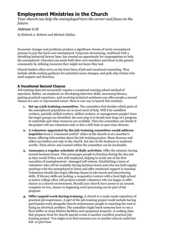# <span id="page-16-0"></span>**Employment Ministries in the Church**

<span id="page-16-1"></span>*Your church can help the unemployed turn the corner and focus on the future.*

# Hebrews 4:16

<span id="page-16-2"></span>by Richard A. Roberts and Michael Jinkins

Economic changes and problems produce a significant stream of newly unemployed persons to join the hard-core unemployed. Corporate downsizing, combined with a shrinking industrial factory base, has created an opportunity for congregations to help the unemployed. Churches can assist both their own members and those in the greater community by utilizing resources they might not know they had.

Church leaders often serve on the front lines of job and vocational counseling. They include adults seeking guidance for potential career changes, and pink-slip victims who need support and direction.

# **A Vocational Second Chance**

Job training does not necessarily require a vocational training school method of operation. Rather, an emphasis on developing interview skills, increasing literacy, gaining practical experience, and receiving technical assistance can offer people a second chance at a new or rejuvenated career. Here is one way to launch this ministry.

- **1. Set up a job-training committee.** The committee first decides which parts of the unemployed population are in most need of help. Will it be unskilled workers, partially skilled workers, skilled workers, or management people? Once the target groups are identified, the next step is to decide how large of a program to undertake and what resources are available. Then the committee can decide if the project will use volunteers only or hire a full-time or part-time director.
- **2. A volunteer appointed by the job-training committee could address inquiries** from a "command central" either at the church or at a member's home, offering information about the job-training project. Many deacons and elders are leaders not only in the church, but also in the business or academic worlds. Their advice and counsel within the committee can be invaluable.
- **3. Announce a regular schedule of daily activities.** Offer the ministry during normal business hours. This encourages people to function during the day just as they would if they were still employed, helping to avoid one of the first casualties of unemployment—damaged self-esteem. Establishing a team of volunteers who will be available during business hours and who can hold regular meetings with the unemployed to listen and offer emotional support is essential. Volunteers should also begin offering classes in job-search and interviewing skills. If literacy skills are lacking, a cooperative venture with a local high school or junior college often will produce outside volunteers who are happy to offer classes in a church environment. Should your church have access to an unused computer or two, classes in beginning word processing can be part of the program.
- **4. Offer unpaid work during training.** A church is a ready-made repository of practical job experiences. A part of the job-training project could include having participants work alongside church-maintenance people in repairing the roof or fixing an electrical problem. The custodian might teach someone how to use a floor buffer or clean kitchen facilities and equipment properly. A cooking class that prepares food for church special events is another excellent practical jobtraining project. You might even find someone you or another church could hire full- or part-time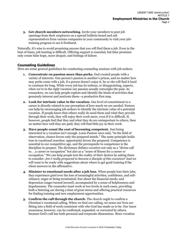**5. Get church members networking**. Invite your members to post job openings from their employers on a special bulletin board and ask representatives from various companies in your community to visit your jobtraining program to see it firsthand.

Naturally, it's wise to avoid promising anyone that you will find them a job. Even in the best of times, job hunting is difficult. Offering support is essential, but false promises only create false hope, more despair, and feelings of failure.

## **Counseling Guidelines**

Here are some general guidelines for conducting counseling sessions with job seekers.

- **1. Concentrate on passion more than perks.** God created people with a variety of interests. One person's passion is another's prison, and no matter how may perks come with a job, if a person doesn't enjoy it, he or she will find it hard to continue for long. While every job has its tedious, or disappointing, aspects, when we're in the right vocation our passion usually outweighs the pain. As counselors, we can help people explore and identify the kinds of activities that genuinely interest and motivate them—a productive first step.
- **2. Look for intrinsic value in the vocation.** Our level of commitment to a career is directly related to our perception of how much we are needed. Pastors can help by encouraging job seekers to identify the intrinsic value of a potential vocation. If people know that others really do need them and what they provide through their work, they will enjoy their work more, even if it is difficult. If, however, people feel that they and what they do are unimportant to others, then no matter how well they are paid, they will find little joy in their work.
- **3. Have people count the cost of becoming competent.** Just being interested in a vocation isn't enough. Louis Pasteur once said, "In the field of observation, chance favors only the prepared minds." The same principle holds true in vocational searches: opportunity favors the prepared. Competence is essential in our competitive age, and the prerequisite to competence is the discipline to prepare. The dictionary defines *vocation* not only as a "divine call to. . .a career or occupation" but also as a "sense of fitness for a career or occupation." We can help people test the reality of their desires by asking them to consider: *Am I really prepared to become a disciple of this vocation?* And we will want to be ready with suggestions about where to get good training if the client answers in the affirmative.
- **4. Minister to emotional needs after a job loss.** When people lose their jobs, they experience grief over the loss of meaningful activities, confidence, and selfreliance; anger at being terminated; fear about the financial needs; and depression (anger turned inward), accompanied by a sense of helplessness and hopelessness. The counselor must work at two levels in such cases, providing both a listening ear during a time of great stress and offering practical resources for finding training and new employment opportunities.
- **5. Confirm the call through the church.** The church ought to confirm a Christian's vocational calling. When we find our calling, we sense our lives are fitting into a field of work consistent with who God has made us to be. Our inner awareness, however, can be confirmed, expanded, or corrected by others, because God's call has both personal and corporate dimensions. Since vocation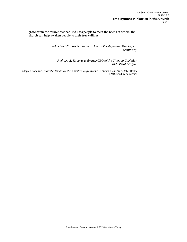grows from the awareness that God uses people to meet the needs of others, the church can help awaken people to their true callings.

> *—Michael Jinkins is a dean at Austin Presbyterian Theological Seminary.*

*— Richard A. Roberts is former CEO of the Chicago Christian Industrial League.*

Adapted from The Leadership Handbook of Practical Theology Volume 2: Outreach and Care (Baker Books, 1994). Used by permission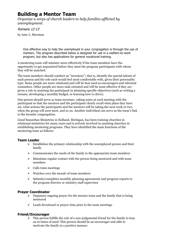# <span id="page-19-0"></span>**Building a Mentor Team**

<span id="page-19-1"></span>*Organize a corps of church leaders to help families afflicted by unemployment.*

Romans 12:13

<span id="page-19-2"></span>by Amy L. Sherman

One effective way to help the unemployed in your congregation is through the use of mentors. The program described below is designed for use in a welfare-to-work program, but also has applications for general vocational training.

A mentoring team will minister more effectively if the team members have the opportunity to get acquainted before they meet the program participants with whom they will be matched.

The team members should conduct an "inventory"; that is, identify the special talents of each person and the role each would feel most comfortable with, given their personality type. Some people are more relational and will be best used as encouragers and informal counselors. Other people are more task-oriented and will be most effective if they are given a role in assisting the participant in attaining specific objectives (such as writing a resume, developing a monthly budget, or learning how to drive).

One person should serve as team secretary, taking notes at each meeting with the participant so that the mentors and the participant clearly recall what plans they have set, what actions the participants and the mentors will be taking the next week or two, when the group will next meet, and so on. Another individual can serve as the team's link to the broader congregation.

Good Samaritan Ministries in Holland, Michigan, has been training churches in relational ministries for many years and is actively involved in assisting churches in establishing mentoring programs. They have identified the main functions of the mentoring team as follows:

## **Team Leader**

- $\triangleright$  Establishes the primary relationship with the unemployed person and their family
- $\triangleright$  Communicates the needs of the family to the appropriate team members
- $\triangleright$  Maintains regular contact with the person being mentored and with team members
- $\triangleright$  Calls team meetings
- $\triangleright$  Watches over the morale of team members
- $\triangleright$  Submits/completes monthly planning agreements and progress reports to the program director or ministry staff supervisor

## **Prayer Coordinator**

- $\triangleright$  Organizes ongoing prayer for the mentor team and the family that is being mentored
- $\triangleright$  Leads devotional or prayer time prior to the team meetings

## **Friend/Encourager**

 $\triangleright$  This person fulfills the role of a non-judgmental friend for the family to lean on in times of need. This person should be an encourager and able to motivate the family in a positive manner.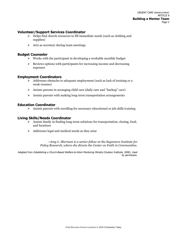#### **Volunteer/Support Services Coordinator**

- $\triangleright$  Helps find church resources to fill immediate needs (such as clothing and supplies)
- $\triangleright$  Acts as secretary during team meetings

#### **Budget Counselor**

- $\triangleright$  Works with the participant in developing a workable monthly budget
- $\triangleright$  Reviews options with participants for increasing income and decreasing expenses

#### **Employment Coordinators**

- $\triangleright$  Addresses obstacles to adequate employment (such as lack of training or a weak resume)
- $\triangleright$  Assists parents in arranging child care (daily care and "backup" care)
- $\triangleright$  Assists parents with making long-term transportation arrangements

#### **Education Coordinator**

 $\triangleright$  Assists parents with enrolling for necessary educational or job skills training

#### **Living Skills/Needs Coordinator**

- $\triangleright$  Assists family in finding long-term solutions for transportation, closing, food, and furniture
- $\triangleright$  Addresses legal and medical needs as they arise

*—Amy L. Sherman is a senior fellow at the Sagamore Institute for Policy Research, where she directs the Center on Faith in Communities.*

Adapted from *Establishing a Church-Based Welfare-to-Work Mentoring Ministry* (Hudson Institute, 2000). Used by permission.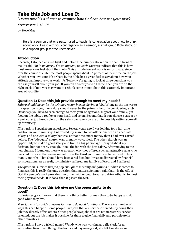# <span id="page-21-0"></span>**Take this Job and Love It**

<span id="page-21-1"></span>*"Down time" is a chance to examine how God can best use your work.*

Ecclesiastes 3:12–14

<span id="page-21-2"></span>by Steve May

Here is a sermon that one pastor used to teach his congregation about how to think about work. Use it with you congregation as a sermon, a small group Bible study, or in a support group for the unemployed.

# **Introduction**

Recently, I stopped at a red light and noticed the bumper sticker on the car in front of me. It said: *I'm in no hurry, I'm on my way to work*. Surveys indicate that this is how most Americans feel about their jobs. This attitude toward work is unfortunate, since over the course of a lifetime most people spend about 40 percent of their time on the job. Whether you love your job or hate it, the Bible has a great deal to say about how your attitude can improve your work life. Today, we're going to look at three questions you can ask yourself about your job. If you can answer yes to all three, then you are on the right track. If not, you may want to rethink some things about this extremely important area of your life.

## **Question 1: Does this job provide enough to meet my needs?**

*Salary should never be the primary factor in considering a job*. As long as the answer to this question is yes, then salary should never be the primary factor in considering a job. Obviously, you have to earn enough to meet your obligations, support your family, put food on the table, a roof over your head, and so on. Beyond that, if you choose a career or a particular job based solely on the salary package, you are quite possibly setting yourself up for misery.

*Illustration*: I speak from experience. Several years ago I was looking for a full-time position in youth ministry. I narrowed my search to two offers: one with an adequate salary, and one with a salary that was, at that time, more money than I had ever earned before. The "adequate" church was, in many ways, ideal. The other church was an opportunity to make a good salary and live in a big parsonage. I prayed about my decision, but not nearly enough. I took the job with the best salary. After moving to the new church, I found out there was a reason why they offered such an attractive salary: no one could work in that environment. I was the third youth minister to be hired in less than 12 months! That should have been a red flag, but I was too distracted by financial considerations. As a result, my ministry suffered, my family suffered, and I suffered.

*The question is, "Does this job pay enough to meet my obligations?"* When it comes to finances, this is really the only question that matters. Solomon said that it is the gift of God if a person's work provides him or her with enough to eat and drink—that is, to meet their physical needs. If it does, then it passes the test.

# **Question 2: Does this job give me the opportunity to do good?**

Ecclesiastes 3:12: I know that there is nothing better for men than to be happy and do good while they live.

*Your job must provide a means for you to do good for others.* There are a number of ways this can happen. Some people have jobs that are service-oriented—by doing their job they directly affect others. Other people have jobs that are not necessarily service oriented, but the job makes it possible for them to give financially and participate in other ministries.

*Illustration*: I have a friend named Wendy who was working as a file clerk for an accounting firm. Even though the hours and pay were good, she felt like she wasn't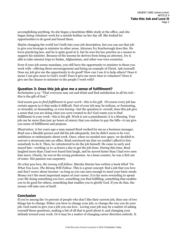accomplishing anything. So she began a lunchtime Bible study at the office, and she began doing volunteer work for a suicide hotline on her day off. She looked for opportunities to do good and found them.

Maybe changing the world isn't built into your job description, but you can use that job to give you leverage to minister in other areas. Attorney Ivy Scarborough does this. He loves practicing law, and he is quite good at it, but he sees his law practice as a means to support his ministry. Because of the income he derives from being an attorney, Ivy is able to take mission trips to Sudan, Afghanistan, and other war-torn countries.

Even if your job seems mundane, you still have the opportunity to minister to those you work with—offering them encouragement and being an example of Christ. Ask yourself: Does my job give me the opportunity to do good? How can I use it to help others? Does it mean I can give more to God's work? Does it give me more time to volunteer? Does it give me the chance to minister to the people I work with?

## **Question 3: Does this job give me a sense of fulfillment?**

Ecclesiastes 3:13: "That everyone may eat and drink and find satisfaction in all his toil this is the gift of God."

*God wants you to find fulfillment in your work—this is his gift*. Of course every job has certain aspects to it that make it difficult. Part of your job may be tedious, or frustrating, or stressful, or demanding, or even boring—but the question is: overall, does this job give a sense that you are doing what you were created to do? God wants you to find fulfillment in your work—this is his gift. Work is not a punishment, it is a blessing. Your job can be more than just 40 hours of misery that you endure to pay the bills—it can give you sense of fulfillment and purpose.

*Illustration*: A few years ago a man named Brad worked for me as a business manager. Brad was a likeable person and did his job adequately, but he didn't seem to be very ambitious or enthusiastic about work. Once, when we needed new space, we decided to convert a storeroom into an office. Brad convinced me that we couldn't afford to hire somebody to do it. Then, he volunteered to do the job himself. He came in early and stayed late—working 12 to 14 hours a day to get the job done. During this time, Brad laughed more than I had ever heard him laugh, and he moved faster than I had ever seen him move. Clearly, he was in the wrong profession. As a bean counter, he was a fish out of water. His passion was carpentry.

*Do what you love, the money will follow*. Marsha Sinetar has written a book titled "*Do What You Love, The Money Will Follow.* This is a great concept: find a job that you love and don't worry about income—as long as you can earn enough to meet your basic needs. Money isn't the most important aspect of your career. It is far more rewarding to spend your life doing something you love, something you find fulfilling, something that enables you to do good for others, something that enables you to glorify God. If you do that, the money will take care of itself.

## **Conclusion**

If you're among the 70 percent of people who don't like their current job, then one of two things has to change. Either you have to change your job, or change the way you do your job. God wants to give you a job you can love. Loving your job may be a matter of asking yourself these questions, making a list of all that is good about it, and changing your attitude toward your work. Or it may be a matter of changing career direction entirely. It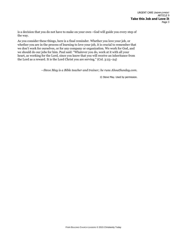is a decision that you do not have to make on your own—God will guide you every step of the way.

As you consider these things, here is a final reminder. Whether you love your job, or whether you are in the process of learning to love your job, it is crucial to remember that we don't work for ourselves, or for any company or organization. We work for God, and we should do our jobs for him. Paul said: "Whatever you do, work at it with all your heart, as working for the Lord, since you know that you will receive an inheritance from the Lord as a reward. It is the Lord Christ you are serving." (Col. 3:23–24)

*—Steve May is a Bible teacher and trainer; he runs AboutSunday.com.*

© Steve May. Used by permission.